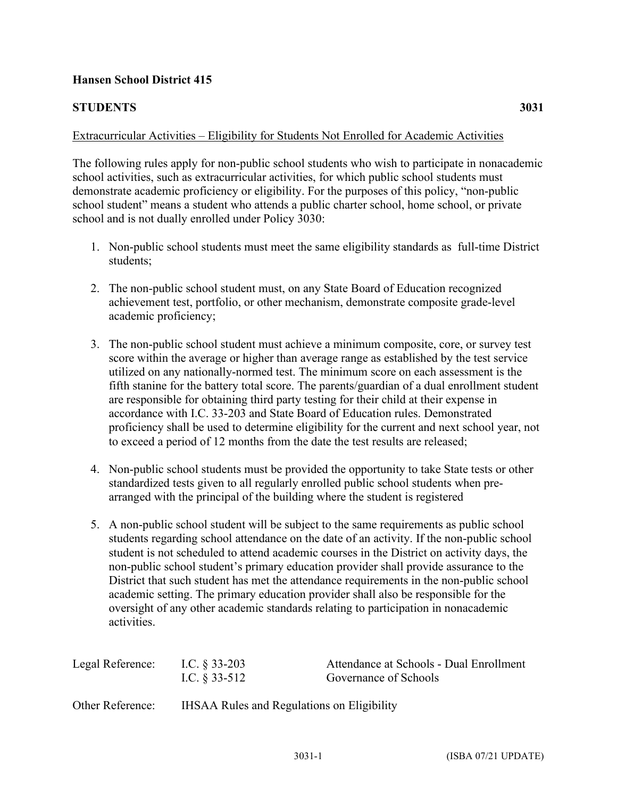## **Hansen School District 415**

## **STUDENTS 3031**

## Extracurricular Activities – Eligibility for Students Not Enrolled for Academic Activities

The following rules apply for non-public school students who wish to participate in nonacademic school activities, such as extracurricular activities, for which public school students must demonstrate academic proficiency or eligibility. For the purposes of this policy, "non-public school student" means a student who attends a public charter school, home school, or private school and is not dually enrolled under Policy 3030:

- 1. Non-public school students must meet the same eligibility standards as full-time District students;
- 2. The non-public school student must, on any State Board of Education recognized achievement test, portfolio, or other mechanism, demonstrate composite grade-level academic proficiency;
- 3. The non-public school student must achieve a minimum composite, core, or survey test score within the average or higher than average range as established by the test service utilized on any nationally-normed test. The minimum score on each assessment is the fifth stanine for the battery total score. The parents/guardian of a dual enrollment student are responsible for obtaining third party testing for their child at their expense in accordance with I.C. 33-203 and State Board of Education rules. Demonstrated proficiency shall be used to determine eligibility for the current and next school year, not to exceed a period of 12 months from the date the test results are released;
- 4. Non-public school students must be provided the opportunity to take State tests or other standardized tests given to all regularly enrolled public school students when prearranged with the principal of the building where the student is registered
- 5. A non-public school student will be subject to the same requirements as public school students regarding school attendance on the date of an activity. If the non-public school student is not scheduled to attend academic courses in the District on activity days, the non-public school student's primary education provider shall provide assurance to the District that such student has met the attendance requirements in the non-public school academic setting. The primary education provider shall also be responsible for the oversight of any other academic standards relating to participation in nonacademic activities.

| Legal Reference: | I.C. $\S$ 33-203<br>I.C. $§$ 33-512               | Attendance at Schools - Dual Enrollment<br>Governance of Schools |
|------------------|---------------------------------------------------|------------------------------------------------------------------|
| Other Reference: | <b>IHSAA Rules and Regulations on Eligibility</b> |                                                                  |